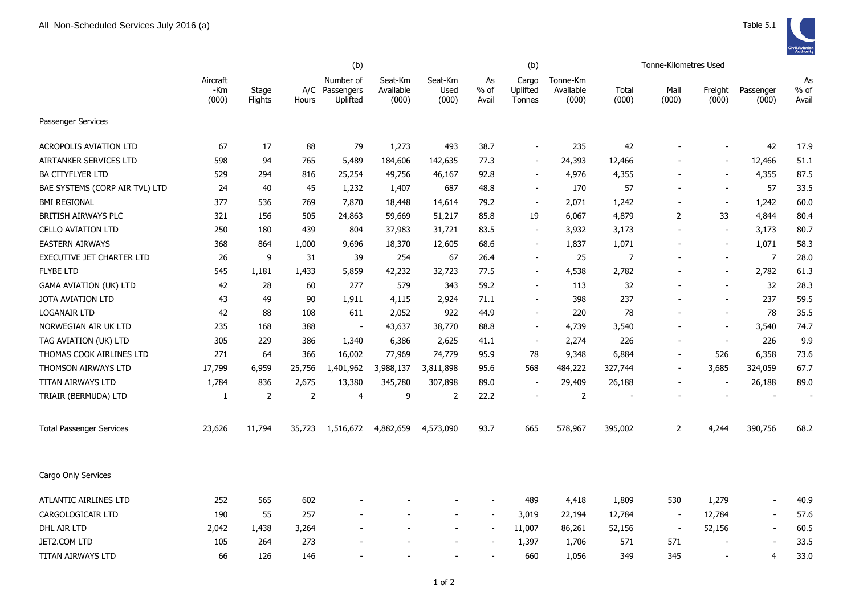|                                 |                          |                  | (b)            |                                         |                               |                          |                          | (b)                         |                                |                | Tonne-Kilometres Used    |                          |                          |                     |
|---------------------------------|--------------------------|------------------|----------------|-----------------------------------------|-------------------------------|--------------------------|--------------------------|-----------------------------|--------------------------------|----------------|--------------------------|--------------------------|--------------------------|---------------------|
|                                 | Aircraft<br>-Km<br>(000) | Stage<br>Flights | Hours          | Number of<br>A/C Passengers<br>Uplifted | Seat-Km<br>Available<br>(000) | Seat-Km<br>Used<br>(000) | As<br>$%$ of<br>Avail    | Cargo<br>Uplifted<br>Tonnes | Tonne-Km<br>Available<br>(000) | Total<br>(000) | Mail<br>(000)            | Freight<br>(000)         | Passenger<br>(000)       | As<br>% of<br>Avail |
| Passenger Services              |                          |                  |                |                                         |                               |                          |                          |                             |                                |                |                          |                          |                          |                     |
| <b>ACROPOLIS AVIATION LTD</b>   | 67                       | 17               | 88             | 79                                      | 1,273                         | 493                      | 38.7                     | $\sim$                      | 235                            | 42             |                          |                          | 42                       | 17.9                |
| AIRTANKER SERVICES LTD          | 598                      | 94               | 765            | 5,489                                   | 184,606                       | 142,635                  | 77.3                     |                             | 24,393                         | 12,466         |                          | $\overline{\phantom{a}}$ | 12,466                   | 51.1                |
| BA CITYFLYER LTD                | 529                      | 294              | 816            | 25,254                                  | 49,756                        | 46,167                   | 92.8                     | $\sim$                      | 4,976                          | 4,355          | $\overline{\phantom{a}}$ | $\overline{\phantom{a}}$ | 4,355                    | 87.5                |
| BAE SYSTEMS (CORP AIR TVL) LTD  | 24                       | 40               | 45             | 1,232                                   | 1,407                         | 687                      | 48.8                     | $\overline{a}$              | 170                            | 57             | $\blacksquare$           | $\overline{\phantom{a}}$ | 57                       | 33.5                |
| <b>BMI REGIONAL</b>             | 377                      | 536              | 769            | 7,870                                   | 18,448                        | 14,614                   | 79.2                     | $\overline{\phantom{a}}$    | 2,071                          | 1,242          | $\overline{\phantom{a}}$ | $\overline{\phantom{a}}$ | 1,242                    | 60.0                |
| BRITISH AIRWAYS PLC             | 321                      | 156              | 505            | 24,863                                  | 59,669                        | 51,217                   | 85.8                     | 19                          | 6,067                          | 4,879          | 2                        | 33                       | 4,844                    | 80.4                |
| <b>CELLO AVIATION LTD</b>       | 250                      | 180              | 439            | 804                                     | 37,983                        | 31,721                   | 83.5                     | $\sim$                      | 3,932                          | 3,173          | $\blacksquare$           | $\overline{\phantom{a}}$ | 3,173                    | 80.7                |
| <b>EASTERN AIRWAYS</b>          | 368                      | 864              | 1,000          | 9,696                                   | 18,370                        | 12,605                   | 68.6                     |                             | 1,837                          | 1,071          |                          | $\blacksquare$           | 1,071                    | 58.3                |
| EXECUTIVE JET CHARTER LTD       | 26                       | 9                | 31             | 39                                      | 254                           | 67                       | 26.4                     | $\sim$                      | 25                             | $\overline{7}$ |                          | $\overline{\phantom{a}}$ | $\overline{7}$           | 28.0                |
| <b>FLYBE LTD</b>                | 545                      | 1,181            | 1,433          | 5,859                                   | 42,232                        | 32,723                   | 77.5                     | $\blacksquare$              | 4,538                          | 2,782          |                          | $\blacksquare$           | 2,782                    | 61.3                |
| <b>GAMA AVIATION (UK) LTD</b>   | 42                       | 28               | 60             | 277                                     | 579                           | 343                      | 59.2                     |                             | 113                            | 32             |                          | $\overline{\phantom{a}}$ | 32                       | 28.3                |
| JOTA AVIATION LTD               | 43                       | 49               | 90             | 1,911                                   | 4,115                         | 2,924                    | 71.1                     |                             | 398                            | 237            |                          |                          | 237                      | 59.5                |
| <b>LOGANAIR LTD</b>             | 42                       | 88               | 108            | 611                                     | 2,052                         | 922                      | 44.9                     |                             | 220                            | 78             |                          |                          | 78                       | 35.5                |
| NORWEGIAN AIR UK LTD            | 235                      | 168              | 388            | $\overline{\phantom{a}}$                | 43,637                        | 38,770                   | 88.8                     |                             | 4,739                          | 3,540          |                          | $\overline{\phantom{a}}$ | 3,540                    | 74.7                |
| TAG AVIATION (UK) LTD           | 305                      | 229              | 386            | 1,340                                   | 6,386                         | 2,625                    | 41.1                     |                             | 2,274                          | 226            |                          | $\overline{\phantom{a}}$ | 226                      | 9.9                 |
| THOMAS COOK AIRLINES LTD        | 271                      | 64               | 366            | 16,002                                  | 77,969                        | 74,779                   | 95.9                     | 78                          | 9,348                          | 6,884          | $\blacksquare$           | 526                      | 6,358                    | 73.6                |
| THOMSON AIRWAYS LTD             | 17,799                   | 6,959            | 25,756         | 1,401,962                               | 3,988,137                     | 3,811,898                | 95.6                     | 568                         | 484,222                        | 327,744        | $\blacksquare$           | 3,685                    | 324,059                  | 67.7                |
| TITAN AIRWAYS LTD               | 1,784                    | 836              | 2,675          | 13,380                                  | 345,780                       | 307,898                  | 89.0                     |                             | 29,409                         | 26,188         |                          | $\overline{\phantom{a}}$ | 26,188                   | 89.0                |
| TRIAIR (BERMUDA) LTD            | 1                        | $\overline{2}$   | $\overline{2}$ | 4                                       | 9                             | 2                        | 22.2                     |                             | $\overline{2}$                 |                |                          |                          |                          |                     |
| <b>Total Passenger Services</b> | 23,626                   | 11,794           | 35,723         | 1,516,672                               | 4,882,659                     | 4,573,090                | 93.7                     | 665                         | 578,967                        | 395,002        | $\overline{2}$           | 4,244                    | 390,756                  | 68.2                |
| Cargo Only Services             |                          |                  |                |                                         |                               |                          |                          |                             |                                |                |                          |                          |                          |                     |
| ATLANTIC AIRLINES LTD           | 252                      | 565              | 602            |                                         |                               |                          | $\sim$                   | 489                         | 4,418                          | 1,809          | 530                      | 1,279                    | $\sim$                   | 40.9                |
| CARGOLOGICAIR LTD               | 190                      | 55               | 257            |                                         |                               | $\overline{a}$           | $\sim$                   | 3,019                       | 22,194                         | 12,784         | $\sim$                   | 12,784                   | $\sim$                   | 57.6                |
| DHL AIR LTD                     | 2,042                    | 1,438            | 3,264          |                                         |                               | $\overline{a}$           | $\overline{\phantom{a}}$ | 11,007                      | 86,261                         | 52,156         | $\overline{\phantom{a}}$ | 52,156                   | $\overline{\phantom{a}}$ | 60.5                |
| JET2.COM LTD                    | 105                      | 264              | 273            |                                         |                               |                          |                          | 1,397                       | 1,706                          | 571            | 571                      |                          |                          | 33.5                |
| TITAN AIRWAYS LTD               | 66                       | 126              | 146            |                                         |                               |                          |                          | 660                         | 1,056                          | 349            | 345                      |                          | 4                        | 33.0                |